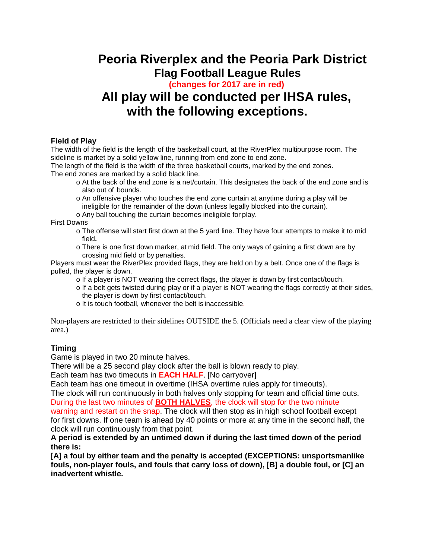## **Peoria Riverplex and the Peoria Park District Flag Football League Rules**

 **(changes for 2017 are in red)**

# **All play will be conducted per IHSA rules, with the following exceptions.**

### **Field of Play**

The width of the field is the length of the basketball court, at the RiverPlex multipurpose room. The sideline is market by a solid yellow line, running from end zone to end zone.

The length of the field is the width of the three basketball courts, marked by the end zones. The end zones are marked by a solid black line.

- o At the back of the end zone is a net/curtain. This designates the back of the end zone and is also out of bounds.
- o An offensive player who touches the end zone curtain at anytime during a play will be ineligible for the remainder of the down (unless legally blocked into the curtain).

o Any ball touching the curtain becomes ineligible for play.

First Downs

- o The offense will start first down at the 5 yard line. They have four attempts to make it to mid field**.**
- o There is one first down marker, at mid field. The only ways of gaining a first down are by crossing mid field or by penalties.

Players must wear the RiverPlex provided flags, they are held on by a belt. Once one of the flags is pulled, the player is down.

- o If a player is NOT wearing the correct flags, the player is down by first contact/touch.
- o If a belt gets twisted during play or if a player is NOT wearing the flags correctly at their sides, the player is down by first contact/touch.
- o It is touch football, whenever the belt is inaccessible.

Non-players are restricted to their sidelines OUTSIDE the 5. (Officials need a clear view of the playing area.)

## **Timing**

Game is played in two 20 minute halves.

There will be a 25 second play clock after the ball is blown ready to play.

Each team has two timeouts in **EACH HALF**. [No carryover]

Each team has one timeout in overtime (IHSA overtime rules apply for timeouts).

The clock will run continuously in both halves only stopping for team and official time outs. During the last two minutes of **BOTH HALVES**, the clock will stop for the two minute

warning and restart on the snap. The clock will then stop as in high school football except for first downs. If one team is ahead by 40 points or more at any time in the second half, the clock will run continuously from that point.

**A period is extended by an untimed down if during the last timed down of the period there is:**

**[A] a foul by either team and the penalty is accepted (EXCEPTIONS: unsportsmanlike fouls, non-player fouls, and fouls that carry loss of down), [B] a double foul, or [C] an inadvertent whistle.**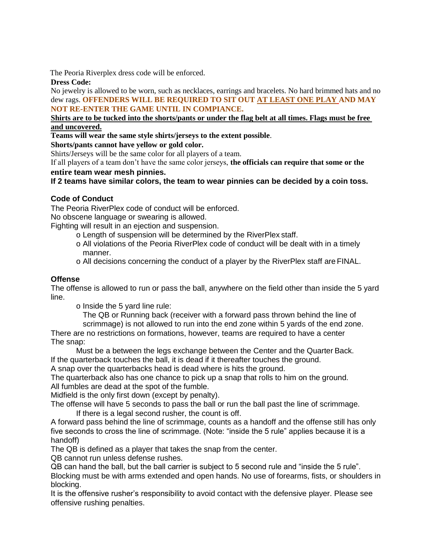The Peoria Riverplex dress code will be enforced.

#### **Dress Code:**

No jewelry is allowed to be worn, such as necklaces, earrings and bracelets. No hard brimmed hats and no dew rags. **OFFENDERS WILL BE REQUIRED TO SIT OUT AT LEAST ONE PLAY AND MAY NOT RE-ENTER THE GAME UNTIL IN COMPIANCE.**

#### **Shirts are to be tucked into the shorts/pants or under the flag belt at all times. Flags must be free and uncovered.**

**Teams will wear the same style shirts/jerseys to the extent possible**.

#### **Shorts/pants cannot have yellow or gold color.**

Shirts/Jerseys will be the same color for all players of a team.

If all players of a team don't have the same color jerseys, **the officials can require that some or the entire team wear mesh pinnies.**

### **If 2 teams have similar colors, the team to wear pinnies can be decided by a coin toss.**

### **Code of Conduct**

The Peoria RiverPlex code of conduct will be enforced.

No obscene language or swearing is allowed.

Fighting will result in an ejection and suspension.

- o Length of suspension will be determined by the RiverPlex staff.
- o All violations of the Peoria RiverPlex code of conduct will be dealt with in a timely manner.
- o All decisions concerning the conduct of a player by the RiverPlex staff are FINAL.

### **Offense**

The offense is allowed to run or pass the ball, anywhere on the field other than inside the 5 yard line.

o Inside the 5 yard line rule:

The QB or Running back (receiver with a forward pass thrown behind the line of

scrimmage) is not allowed to run into the end zone within 5 yards of the end zone. There are no restrictions on formations, however, teams are required to have a center The snap:

Must be a between the legs exchange between the Center and the Quarter Back.

If the quarterback touches the ball, it is dead if it thereafter touches the ground.

A snap over the quarterbacks head is dead where is hits the ground.

The quarterback also has one chance to pick up a snap that rolls to him on the ground. All fumbles are dead at the spot of the fumble.

Midfield is the only first down (except by penalty).

The offense will have 5 seconds to pass the ball or run the ball past the line of scrimmage.

If there is a legal second rusher, the count is off.

A forward pass behind the line of scrimmage, counts as a handoff and the offense still has only five seconds to cross the line of scrimmage. (Note: "inside the 5 rule" applies because it is a handoff)

The QB is defined as a player that takes the snap from the center.

QB cannot run unless defense rushes.

QB can hand the ball, but the ball carrier is subject to 5 second rule and "inside the 5 rule". Blocking must be with arms extended and open hands. No use of forearms, fists, or shoulders in blocking.

It is the offensive rusher's responsibility to avoid contact with the defensive player. Please see offensive rushing penalties.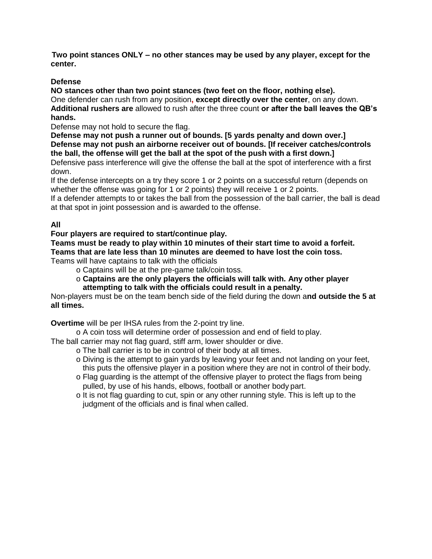**Two point stances [Two point stances O](http://www.pdfcomplete.com/cms/hppl/tabid/108/Default.aspx?r=q8b3uige22)NLY – no other stances may be used by any player, except for the Center.** 

### **Defense**

**NO stances other than two point stances (two feet on the floor, nothing else).**

One defender can rush from any position**, except directly over the center**, on any down. **Additional rushers are** allowed to rush after the three count **or after the ball leaves the QB's hands.**

Defense may not hold to secure the flag.

**Defense may not push a runner out of bounds. [5 yards penalty and down over.] Defense may not push an airborne receiver out of bounds. [If receiver catches/controls the ball, the offense will get the ball at the spot of the push with a first down.]** 

Defensive pass interference will give the offense the ball at the spot of interference with a first down.

If the defense intercepts on a try they score 1 or 2 points on a successful return (depends on whether the offense was going for 1 or 2 points) they will receive 1 or 2 points.

If a defender attempts to or takes the ball from the possession of the ball carrier, the ball is dead at that spot in joint possession and is awarded to the offense.

## **All**

### **Four players are required to start/continue play.**

**Teams must be ready to play within 10 minutes of their start time to avoid a forfeit. Teams that are late less than 10 minutes are deemed to have lost the coin toss.**

Teams will have captains to talk with the officials

o Captains will be at the pre-game talk/coin toss.

o **Captains are the only players the officials will talk with. Any other player attempting to talk with the officials could result in a penalty.**

Non-players must be on the team bench side of the field during the down a**nd outside the 5 at all times.**

**Overtime** will be per IHSA rules from the 2-point try line.

o A coin toss will determine order of possession and end of field to play.

The ball carrier may not flag guard, stiff arm, lower shoulder or dive.

- o The ball carrier is to be in control of their body at all times.
- o Diving is the attempt to gain yards by leaving your feet and not landing on your feet, this puts the offensive player in a position where they are not in control of their body.
- o Flag guarding is the attempt of the offensive player to protect the flags from being pulled, by use of his hands, elbows, football or another body part.
- o It is not flag guarding to cut, spin or any other running style. This is left up to the judgment of the officials and is final when called.